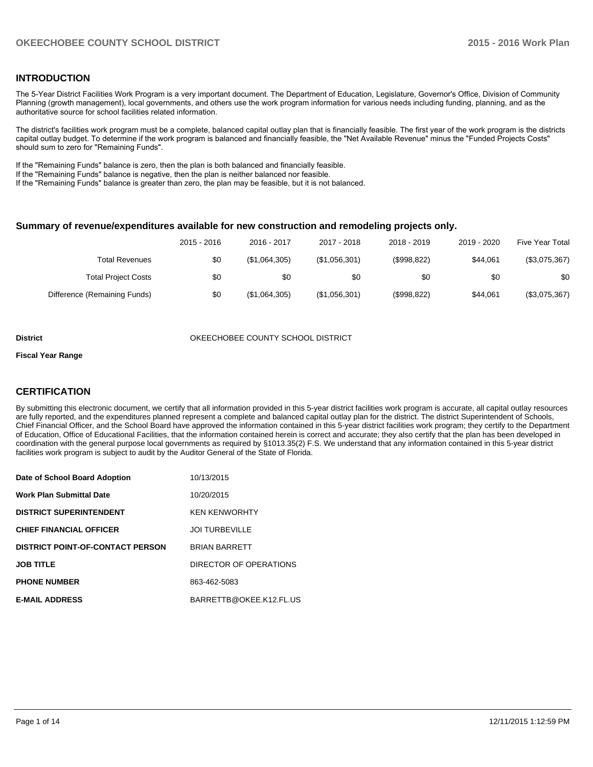## **INTRODUCTION**

The 5-Year District Facilities Work Program is a very important document. The Department of Education, Legislature, Governor's Office, Division of Community Planning (growth management), local governments, and others use the work program information for various needs including funding, planning, and as the authoritative source for school facilities related information.

The district's facilities work program must be a complete, balanced capital outlay plan that is financially feasible. The first year of the work program is the districts capital outlay budget. To determine if the work program is balanced and financially feasible, the "Net Available Revenue" minus the "Funded Projects Costs" should sum to zero for "Remaining Funds".

If the "Remaining Funds" balance is zero, then the plan is both balanced and financially feasible.

If the "Remaining Funds" balance is negative, then the plan is neither balanced nor feasible.

If the "Remaining Funds" balance is greater than zero, the plan may be feasible, but it is not balanced.

### **Summary of revenue/expenditures available for new construction and remodeling projects only.**

|                              | 2015 - 2016 | 2016 - 2017   | 2017 - 2018   | 2018 - 2019 | 2019 - 2020 | Five Year Total |
|------------------------------|-------------|---------------|---------------|-------------|-------------|-----------------|
| <b>Total Revenues</b>        | \$0         | (\$1,064,305) | (\$1,056,301) | (\$998,822) | \$44.061    | (\$3,075,367)   |
| <b>Total Project Costs</b>   | \$0         | \$0           | \$0           | \$0         | \$0         | \$0             |
| Difference (Remaining Funds) | \$0         | (\$1,064,305) | (\$1,056,301) | (\$998,822) | \$44.061    | (\$3,075,367)   |

#### **District COUNTY SCHOOL DISTRICT** OKEECHOBEE COUNTY SCHOOL DISTRICT

#### **Fiscal Year Range**

## **CERTIFICATION**

By submitting this electronic document, we certify that all information provided in this 5-year district facilities work program is accurate, all capital outlay resources are fully reported, and the expenditures planned represent a complete and balanced capital outlay plan for the district. The district Superintendent of Schools, Chief Financial Officer, and the School Board have approved the information contained in this 5-year district facilities work program; they certify to the Department of Education, Office of Educational Facilities, that the information contained herein is correct and accurate; they also certify that the plan has been developed in coordination with the general purpose local governments as required by §1013.35(2) F.S. We understand that any information contained in this 5-year district facilities work program is subject to audit by the Auditor General of the State of Florida.

| Date of School Board Adoption           | 10/13/2015              |
|-----------------------------------------|-------------------------|
| <b>Work Plan Submittal Date</b>         | 10/20/2015              |
| <b>DISTRICT SUPERINTENDENT</b>          | <b>KEN KENWORHTY</b>    |
| <b>CHIEF FINANCIAL OFFICER</b>          | <b>JOI TURBEVILLE</b>   |
| <b>DISTRICT POINT-OF-CONTACT PERSON</b> | <b>BRIAN BARRETT</b>    |
| <b>JOB TITLE</b>                        | DIRECTOR OF OPERATIONS  |
| <b>PHONE NUMBER</b>                     | 863-462-5083            |
| <b>E-MAIL ADDRESS</b>                   | BARRETTB@OKEE.K12.FL.US |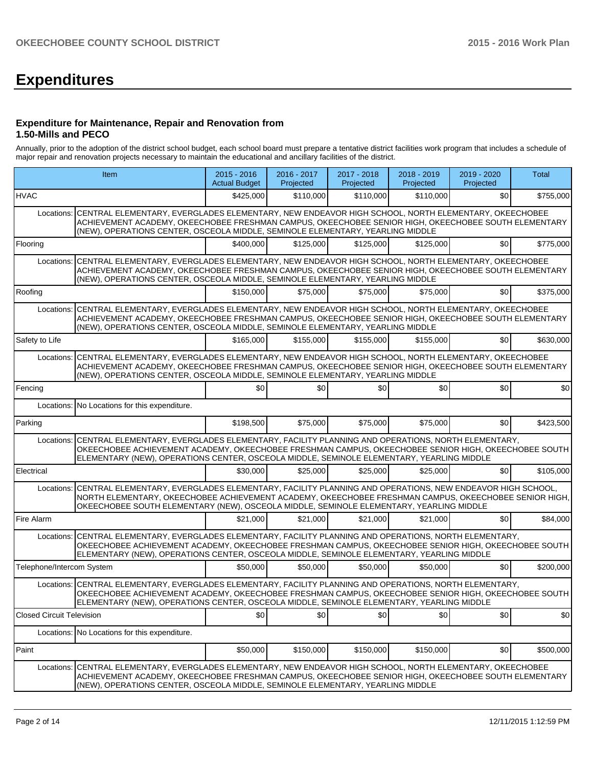# **Expenditures**

### **Expenditure for Maintenance, Repair and Renovation from 1.50-Mills and PECO**

Annually, prior to the adoption of the district school budget, each school board must prepare a tentative district facilities work program that includes a schedule of major repair and renovation projects necessary to maintain the educational and ancillary facilities of the district.

|                                  | Item                                                                                                                                                                                                                                                                                                           | $2015 - 2016$<br><b>Actual Budget</b> | 2016 - 2017<br>Projected | 2017 - 2018<br>Projected | 2018 - 2019<br>Projected | 2019 - 2020<br>Projected | Total     |  |  |  |  |
|----------------------------------|----------------------------------------------------------------------------------------------------------------------------------------------------------------------------------------------------------------------------------------------------------------------------------------------------------------|---------------------------------------|--------------------------|--------------------------|--------------------------|--------------------------|-----------|--|--|--|--|
| <b>HVAC</b>                      |                                                                                                                                                                                                                                                                                                                | \$425.000                             | \$110,000                | \$110,000                | \$110,000                | \$0                      | \$755,000 |  |  |  |  |
| Locations:                       | CENTRAL ELEMENTARY, EVERGLADES ELEMENTARY, NEW ENDEAVOR HIGH SCHOOL, NORTH ELEMENTARY, OKEECHOBEE<br>ACHIEVEMENT ACADEMY, OKEECHOBEE FRESHMAN CAMPUS, OKEECHOBEE SENIOR HIGH, OKEECHOBEE SOUTH ELEMENTARY<br>(NEW), OPERATIONS CENTER, OSCEOLA MIDDLE, SEMINOLE ELEMENTARY, YEARLING MIDDLE                    |                                       |                          |                          |                          |                          |           |  |  |  |  |
| Flooring                         |                                                                                                                                                                                                                                                                                                                | \$400,000                             | \$125,000                | \$125,000                | \$125,000                | \$0                      | \$775,000 |  |  |  |  |
| Locations:                       | CENTRAL ELEMENTARY, EVERGLADES ELEMENTARY, NEW ENDEAVOR HIGH SCHOOL, NORTH ELEMENTARY, OKEECHOBEE<br>ACHIEVEMENT ACADEMY, OKEECHOBEE FRESHMAN CAMPUS, OKEECHOBEE SENIOR HIGH, OKEECHOBEE SOUTH ELEMENTARY<br>(NEW), OPERATIONS CENTER, OSCEOLA MIDDLE, SEMINOLE ELEMENTARY, YEARLING MIDDLE                    |                                       |                          |                          |                          |                          |           |  |  |  |  |
| Roofing                          |                                                                                                                                                                                                                                                                                                                | \$150,000                             | \$75,000                 | \$75,000                 | \$75,000                 | \$0                      | \$375,000 |  |  |  |  |
| Locations:                       | CENTRAL ELEMENTARY, EVERGLADES ELEMENTARY, NEW ENDEAVOR HIGH SCHOOL, NORTH ELEMENTARY, OKEECHOBEE<br>ACHIEVEMENT ACADEMY, OKEECHOBEE FRESHMAN CAMPUS, OKEECHOBEE SENIOR HIGH, OKEECHOBEE SOUTH ELEMENTARY<br>(NEW), OPERATIONS CENTER, OSCEOLA MIDDLE, SEMINOLE ELEMENTARY, YEARLING MIDDLE                    |                                       |                          |                          |                          |                          |           |  |  |  |  |
| Safety to Life                   |                                                                                                                                                                                                                                                                                                                | \$165,000                             | \$155,000                | \$155,000                | \$155,000                | \$0                      | \$630,000 |  |  |  |  |
| Locations:                       | CENTRAL ELEMENTARY, EVERGLADES ELEMENTARY, NEW ENDEAVOR HIGH SCHOOL, NORTH ELEMENTARY, OKEECHOBEE<br>ACHIEVEMENT ACADEMY, OKEECHOBEE FRESHMAN CAMPUS, OKEECHOBEE SENIOR HIGH, OKEECHOBEE SOUTH ELEMENTARY<br>(NEW), OPERATIONS CENTER, OSCEOLA MIDDLE, SEMINOLE ELEMENTARY, YEARLING MIDDLE                    |                                       |                          |                          |                          |                          |           |  |  |  |  |
| Fencing                          |                                                                                                                                                                                                                                                                                                                | \$0                                   | \$0                      | \$0                      | \$0                      | \$0                      | \$0       |  |  |  |  |
|                                  | Locations: No Locations for this expenditure.                                                                                                                                                                                                                                                                  |                                       |                          |                          |                          |                          |           |  |  |  |  |
| Parking                          |                                                                                                                                                                                                                                                                                                                | \$198,500                             | \$75,000                 | \$75,000                 | \$75,000                 | \$0 <sub>1</sub>         | \$423,500 |  |  |  |  |
| Locations:                       | CENTRAL ELEMENTARY, EVERGLADES ELEMENTARY, FACILITY PLANNING AND OPERATIONS, NORTH ELEMENTARY,<br>OKEECHOBEE ACHIEVEMENT ACADEMY, OKEECHOBEE FRESHMAN CAMPUS, OKEECHOBEE SENIOR HIGH, OKEECHOBEE SOUTH<br>ELEMENTARY (NEW), OPERATIONS CENTER, OSCEOLA MIDDLE, SEMINOLE ELEMENTARY, YEARLING MIDDLE            |                                       |                          |                          |                          |                          |           |  |  |  |  |
| Electrical                       |                                                                                                                                                                                                                                                                                                                | \$30,000                              | \$25,000                 | \$25,000                 | \$25,000                 | \$0                      | \$105,000 |  |  |  |  |
| Locations:                       | CENTRAL ELEMENTARY, EVERGLADES ELEMENTARY, FACILITY PLANNING AND OPERATIONS, NEW ENDEAVOR HIGH SCHOOL,<br>NORTH ELEMENTARY, OKEECHOBEE ACHIEVEMENT ACADEMY, OKEECHOBEE FRESHMAN CAMPUS, OKEECHOBEE SENIOR HIGH,<br>OKEECHOBEE SOUTH ELEMENTARY (NEW), OSCEOLA MIDDLE, SEMINOLE ELEMENTARY, YEARLING MIDDLE     |                                       |                          |                          |                          |                          |           |  |  |  |  |
| Fire Alarm                       |                                                                                                                                                                                                                                                                                                                | \$21,000                              | \$21.000                 | \$21,000                 | \$21.000                 | \$0                      | \$84,000  |  |  |  |  |
| Locations:                       | CENTRAL ELEMENTARY, EVERGLADES ELEMENTARY, FACILITY PLANNING AND OPERATIONS, NORTH ELEMENTARY,<br>OKEECHOBEE ACHIEVEMENT ACADEMY, OKEECHOBEE FRESHMAN CAMPUS, OKEECHOBEE SENIOR HIGH, OKEECHOBEE SOUTH<br>ELEMENTARY (NEW), OPERATIONS CENTER, OSCEOLA MIDDLE, SEMINOLE ELEMENTARY, YEARLING MIDDLE            |                                       |                          |                          |                          |                          |           |  |  |  |  |
| Telephone/Intercom System        |                                                                                                                                                                                                                                                                                                                | \$50,000                              | \$50,000                 | \$50,000                 | \$50,000                 | \$0                      | \$200,000 |  |  |  |  |
|                                  | Locations: CENTRAL ELEMENTARY, EVERGLADES ELEMENTARY, FACILITY PLANNING AND OPERATIONS, NORTH ELEMENTARY,<br>OKEECHOBEE ACHIEVEMENT ACADEMY, OKEECHOBEE FRESHMAN CAMPUS, OKEECHOBEE SENIOR HIGH, OKEECHOBEE SOUTH<br>ELEMENTARY (NEW), OPERATIONS CENTER, OSCEOLA MIDDLE, SEMINOLE ELEMENTARY, YEARLING MIDDLE |                                       |                          |                          |                          |                          |           |  |  |  |  |
| <b>Closed Circuit Television</b> |                                                                                                                                                                                                                                                                                                                | \$0                                   | \$0                      | \$0                      | \$0                      | \$0                      | \$0       |  |  |  |  |
|                                  | Locations: No Locations for this expenditure.                                                                                                                                                                                                                                                                  |                                       |                          |                          |                          |                          |           |  |  |  |  |
| Paint                            |                                                                                                                                                                                                                                                                                                                | \$50,000                              | \$150,000                | \$150,000                | \$150,000                | \$0                      | \$500,000 |  |  |  |  |
| Locations:                       | CENTRAL ELEMENTARY, EVERGLADES ELEMENTARY, NEW ENDEAVOR HIGH SCHOOL, NORTH ELEMENTARY, OKEECHOBEE<br>ACHIEVEMENT ACADEMY, OKEECHOBEE FRESHMAN CAMPUS, OKEECHOBEE SENIOR HIGH, OKEECHOBEE SOUTH ELEMENTARY<br>(NEW), OPERATIONS CENTER, OSCEOLA MIDDLE, SEMINOLE ELEMENTARY, YEARLING MIDDLE                    |                                       |                          |                          |                          |                          |           |  |  |  |  |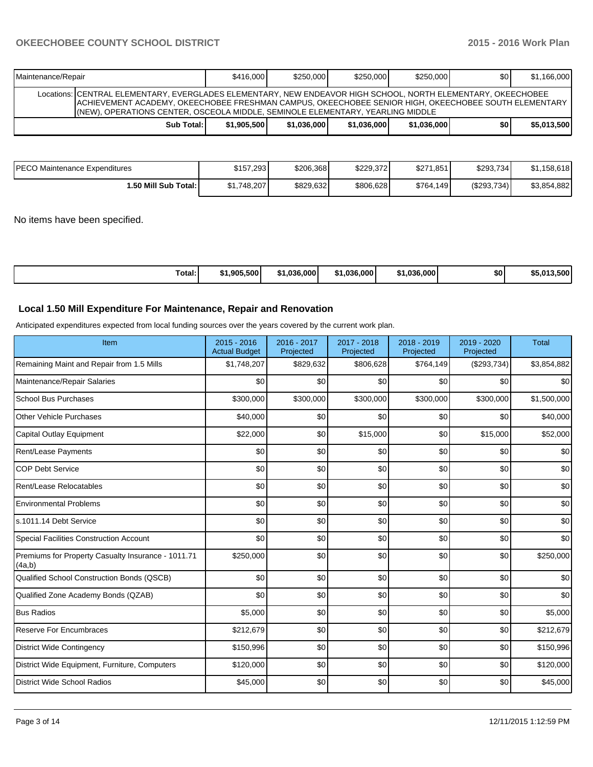| Maintenance/Repair                                                                                                                                                                                                                                                                                     | \$416,000   | \$250,000   | \$250.000   | \$250,000   | <b>\$01</b> | \$1,166,000 |
|--------------------------------------------------------------------------------------------------------------------------------------------------------------------------------------------------------------------------------------------------------------------------------------------------------|-------------|-------------|-------------|-------------|-------------|-------------|
| Locations: CENTRAL ELEMENTARY, EVERGLADES ELEMENTARY, NEW ENDEAVOR HIGH SCHOOL, NORTH ELEMENTARY, OKEECHOBEE<br>ACHIEVEMENT ACADEMY, OKEECHOBEE FRESHMAN CAMPUS, OKEECHOBEE SENIOR HIGH, OKEECHOBEE SOUTH ELEMENTARY<br>(NEW), OPERATIONS CENTER, OSCEOLA MIDDLE, SEMINOLE ELEMENTARY, YEARLING MIDDLE |             |             |             |             |             |             |
| Sub Total:                                                                                                                                                                                                                                                                                             | \$1.905.500 | \$1.036.000 | \$1.036.000 | \$1.036.000 | \$0         | \$5,013,500 |

| IPECO Maintenance Expenditures | \$157,293   | \$206,368 | \$229.372 | \$271,851 | \$293,734  | \$1,158,618 |
|--------------------------------|-------------|-----------|-----------|-----------|------------|-------------|
| ا :50 Mill Sub Total.          | \$1,748,207 | \$829,632 | \$806,628 | \$764,149 | (S293,734) | \$3,854,882 |

No items have been specified.

| Total: | 1.905.500 | \$1.036.000 | \$1.036.000 | .036.000 | \$0 | . 500<br>042 |
|--------|-----------|-------------|-------------|----------|-----|--------------|
|--------|-----------|-------------|-------------|----------|-----|--------------|

## **Local 1.50 Mill Expenditure For Maintenance, Repair and Renovation**

Anticipated expenditures expected from local funding sources over the years covered by the current work plan.

| Item                                                         | 2015 - 2016<br><b>Actual Budget</b> | 2016 - 2017<br>Projected | 2017 - 2018<br>Projected | 2018 - 2019<br>Projected | 2019 - 2020<br>Projected | <b>Total</b> |
|--------------------------------------------------------------|-------------------------------------|--------------------------|--------------------------|--------------------------|--------------------------|--------------|
| Remaining Maint and Repair from 1.5 Mills                    | \$1,748,207                         | \$829,632                | \$806,628                | \$764,149                | (\$293,734)              | \$3,854,882  |
| Maintenance/Repair Salaries                                  | \$0                                 | \$0                      | \$0                      | \$0                      | \$0                      | \$0          |
| <b>School Bus Purchases</b>                                  | \$300,000                           | \$300,000                | \$300,000                | \$300,000                | \$300,000                | \$1,500,000  |
| <b>Other Vehicle Purchases</b>                               | \$40,000                            | \$0                      | \$0                      | \$0                      | \$0                      | \$40,000     |
| Capital Outlay Equipment                                     | \$22,000                            | \$0                      | \$15,000                 | \$0                      | \$15,000                 | \$52,000     |
| Rent/Lease Payments                                          | \$0                                 | \$0                      | \$0                      | \$0                      | \$0                      | \$0          |
| <b>COP Debt Service</b>                                      | \$0                                 | \$0                      | \$0                      | \$0                      | \$0                      | \$0          |
| Rent/Lease Relocatables                                      | \$0                                 | \$0                      | \$0                      | \$0                      | \$0                      | \$0          |
| <b>Environmental Problems</b>                                | \$0                                 | \$0                      | \$0                      | \$0                      | \$0                      | \$0          |
| s.1011.14 Debt Service                                       | \$0                                 | \$0                      | \$0                      | \$0                      | \$0                      | \$0          |
| Special Facilities Construction Account                      | \$0                                 | \$0                      | \$0                      | \$0                      | \$0                      | \$0          |
| Premiums for Property Casualty Insurance - 1011.71<br>(4a,b) | \$250,000                           | \$0                      | \$0                      | \$0                      | \$0                      | \$250,000    |
| Qualified School Construction Bonds (QSCB)                   | \$0                                 | \$0                      | \$0                      | \$0                      | \$0                      | \$0          |
| Qualified Zone Academy Bonds (QZAB)                          | \$0                                 | \$0                      | \$0                      | \$0                      | \$0                      | \$0          |
| <b>Bus Radios</b>                                            | \$5,000                             | \$0                      | \$0                      | \$0                      | \$0                      | \$5,000      |
| <b>Reserve For Encumbraces</b>                               | \$212,679                           | \$0                      | \$0                      | \$0                      | \$0                      | \$212,679    |
| <b>District Wide Contingency</b>                             | \$150,996                           | \$0                      | \$0                      | \$0                      | \$0                      | \$150,996    |
| District Wide Equipment, Furniture, Computers                | \$120,000                           | \$0                      | \$0                      | \$0                      | \$0                      | \$120,000    |
| <b>District Wide School Radios</b>                           | \$45,000                            | \$0                      | \$0                      | \$0                      | \$0                      | \$45,000     |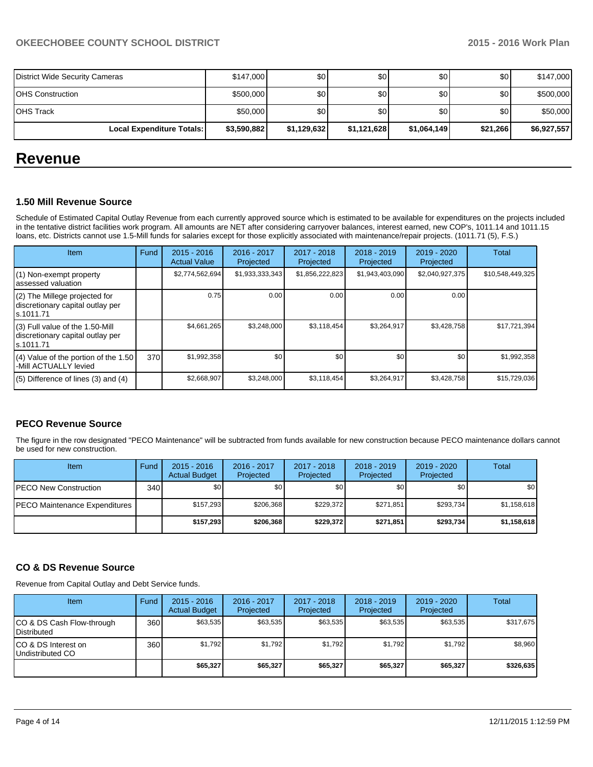| District Wide Security Cameras | \$147,000   | \$0         | \$0              | \$0 <sub>1</sub> | \$0      | \$147,000   |
|--------------------------------|-------------|-------------|------------------|------------------|----------|-------------|
| <b>OHS Construction</b>        | \$500,000   | \$0         | \$0              | \$0 <sub>1</sub> | \$0      | \$500,000   |
| IOHS Track                     | \$50,000    | \$0 I       | \$0 <sub>l</sub> | \$0 <sub>1</sub> | \$0      | \$50,000    |
| Local Expenditure Totals:      | \$3,590,882 | \$1,129,632 | \$1,121,628      | \$1,064,149      | \$21,266 | \$6,927,557 |

## **Revenue**

## **1.50 Mill Revenue Source**

Schedule of Estimated Capital Outlay Revenue from each currently approved source which is estimated to be available for expenditures on the projects included in the tentative district facilities work program. All amounts are NET after considering carryover balances, interest earned, new COP's, 1011.14 and 1011.15 loans, etc. Districts cannot use 1.5-Mill funds for salaries except for those explicitly associated with maintenance/repair projects. (1011.71 (5), F.S.)

| <b>Item</b>                                                                         | Fund | $2015 - 2016$<br><b>Actual Value</b> | $2016 - 2017$<br>Projected | $2017 - 2018$<br>Projected | $2018 - 2019$<br>Projected | $2019 - 2020$<br>Projected | <b>Total</b>     |
|-------------------------------------------------------------------------------------|------|--------------------------------------|----------------------------|----------------------------|----------------------------|----------------------------|------------------|
| (1) Non-exempt property<br>lassessed valuation                                      |      | \$2,774,562,694                      | \$1,933,333,343            | \$1,856,222,823            | \$1,943,403,090            | \$2,040,927,375            | \$10,548,449,325 |
| $(2)$ The Millege projected for<br>discretionary capital outlay per<br>ls.1011.71   |      | 0.75                                 | 0.00                       | 0.00                       | 0.001                      | 0.00                       |                  |
| $(3)$ Full value of the 1.50-Mill<br>discretionary capital outlay per<br>Is.1011.71 |      | \$4,661,265                          | \$3,248,000                | \$3,118,454                | \$3,264,917                | \$3,428,758                | \$17,721,394     |
| $(4)$ Value of the portion of the 1.50<br>I-Mill ACTUALLY levied                    | 370  | \$1,992,358                          | \$0 <sub>l</sub>           | \$0                        | \$0                        | \$0 <sub>1</sub>           | \$1,992,358      |
| $(5)$ Difference of lines (3) and (4)                                               |      | \$2,668,907                          | \$3.248.000                | \$3,118,454                | \$3,264,917                | \$3,428,758                | \$15,729,036     |

## **PECO Revenue Source**

The figure in the row designated "PECO Maintenance" will be subtracted from funds available for new construction because PECO maintenance dollars cannot be used for new construction.

| Item                          | Fund  | $2015 - 2016$<br><b>Actual Budget</b> | 2016 - 2017<br>Projected | 2017 - 2018<br>Projected | $2018 - 2019$<br>Projected | $2019 - 2020$<br>Projected | Total       |
|-------------------------------|-------|---------------------------------------|--------------------------|--------------------------|----------------------------|----------------------------|-------------|
| IPECO New Construction        | 340 l | \$0                                   | \$0 <sub>1</sub>         | \$0 <sub>1</sub>         | \$0 <sub>0</sub>           | \$0 I                      | \$0         |
| PECO Maintenance Expenditures |       | \$157.293                             | \$206.368                | \$229.372                | \$271.851                  | \$293.734                  | \$1,158,618 |
|                               |       | \$157.293                             | \$206,368                | \$229.372                | \$271,851                  | \$293,734                  | \$1,158,618 |

## **CO & DS Revenue Source**

Revenue from Capital Outlay and Debt Service funds.

| Item                                            | Fund | $2015 - 2016$<br><b>Actual Budget</b> | $2016 - 2017$<br>Projected | $2017 - 2018$<br>Projected | $2018 - 2019$<br>Projected | $2019 - 2020$<br>Projected | Total     |
|-------------------------------------------------|------|---------------------------------------|----------------------------|----------------------------|----------------------------|----------------------------|-----------|
| CO & DS Cash Flow-through<br><b>Distributed</b> | 360  | \$63,535                              | \$63,535                   | \$63,535                   | \$63,535                   | \$63,535                   | \$317,675 |
| CO & DS Interest on<br>Undistributed CO         | 360  | \$1,792                               | \$1,792                    | \$1,792                    | \$1,792                    | \$1,792                    | \$8,960   |
|                                                 |      | \$65,327                              | \$65,327                   | \$65,327                   | \$65,327                   | \$65,327                   | \$326,635 |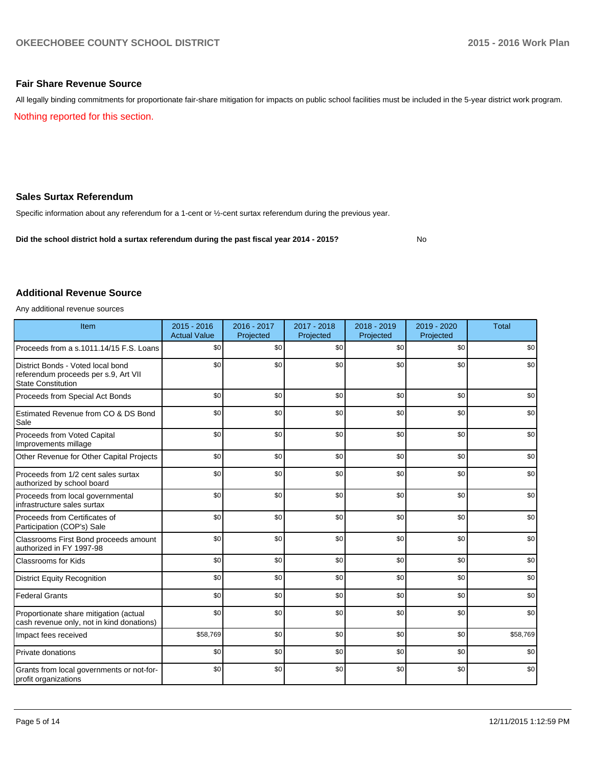## **Fair Share Revenue Source**

All legally binding commitments for proportionate fair-share mitigation for impacts on public school facilities must be included in the 5-year district work program.

Nothing reported for this section.

## **Sales Surtax Referendum**

Specific information about any referendum for a 1-cent or ½-cent surtax referendum during the previous year.

**Did the school district hold a surtax referendum during the past fiscal year 2014 - 2015?**

No

## **Additional Revenue Source**

Any additional revenue sources

| Item                                                                                                   | $2015 - 2016$<br><b>Actual Value</b> | 2016 - 2017<br>Projected | 2017 - 2018<br>Projected | 2018 - 2019<br>Projected | 2019 - 2020<br>Projected | <b>Total</b> |
|--------------------------------------------------------------------------------------------------------|--------------------------------------|--------------------------|--------------------------|--------------------------|--------------------------|--------------|
| Proceeds from a s.1011.14/15 F.S. Loans                                                                | \$0                                  | \$0                      | \$0                      | \$0                      | \$0                      | \$0          |
| District Bonds - Voted local bond<br>referendum proceeds per s.9, Art VII<br><b>State Constitution</b> | \$0                                  | \$0                      | \$0                      | \$0                      | \$0                      | \$0          |
| Proceeds from Special Act Bonds                                                                        | \$0                                  | \$0                      | \$0                      | \$0                      | \$0                      | \$0          |
| Estimated Revenue from CO & DS Bond<br>Sale                                                            | \$0                                  | \$0                      | \$0                      | \$0                      | \$0                      | \$0          |
| Proceeds from Voted Capital<br>Improvements millage                                                    | \$0                                  | \$0                      | \$0                      | \$0                      | \$0                      | \$0          |
| Other Revenue for Other Capital Projects                                                               | \$0                                  | \$0                      | \$0                      | \$0                      | \$0                      | \$0          |
| Proceeds from 1/2 cent sales surtax<br>authorized by school board                                      | \$0                                  | \$0                      | \$0                      | \$0                      | \$0                      | \$0          |
| Proceeds from local governmental<br>infrastructure sales surtax                                        | \$0                                  | \$0                      | \$0                      | \$0                      | \$0                      | \$0          |
| Proceeds from Certificates of<br>Participation (COP's) Sale                                            | \$0                                  | \$0                      | \$0                      | \$0                      | \$0                      | \$0          |
| Classrooms First Bond proceeds amount<br>authorized in FY 1997-98                                      | \$0                                  | \$0                      | \$0                      | \$0                      | \$0                      | \$0          |
| <b>Classrooms for Kids</b>                                                                             | \$0                                  | \$0                      | \$0                      | \$0                      | \$0                      | \$0          |
| <b>District Equity Recognition</b>                                                                     | \$0                                  | \$0                      | \$0                      | \$0                      | \$0                      | \$0          |
| <b>Federal Grants</b>                                                                                  | \$0                                  | \$0                      | \$0                      | \$0                      | \$0                      | \$0          |
| Proportionate share mitigation (actual<br>cash revenue only, not in kind donations)                    | \$0                                  | \$0                      | \$0                      | \$0                      | \$0                      | \$0          |
| Impact fees received                                                                                   | \$58,769                             | \$0                      | \$0                      | \$0                      | \$0                      | \$58,769     |
| Private donations                                                                                      | \$0                                  | \$0                      | \$0                      | \$0                      | \$0                      | \$0          |
| Grants from local governments or not-for-<br>profit organizations                                      | \$0                                  | \$0                      | \$0                      | \$0                      | \$0                      | \$0          |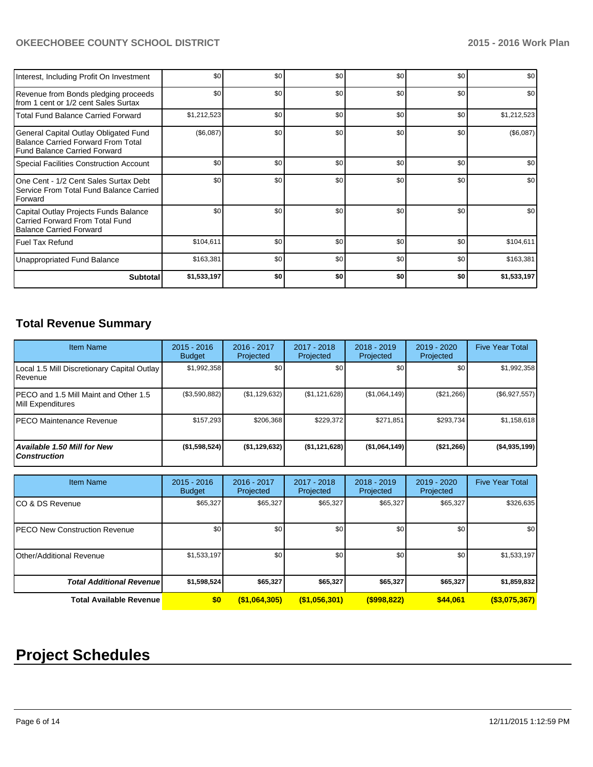| Interest, Including Profit On Investment                                                                    | \$0         | \$0 | \$0 | \$0 | \$0              | \$0         |
|-------------------------------------------------------------------------------------------------------------|-------------|-----|-----|-----|------------------|-------------|
| Revenue from Bonds pledging proceeds<br>Ifrom 1 cent or 1/2 cent Sales Surtax                               | \$0         | \$0 | \$0 | \$0 | \$0              | \$0         |
| l Total Fund Balance Carried Forward                                                                        | \$1,212,523 | \$0 | \$0 | \$0 | \$0              | \$1,212,523 |
| General Capital Outlay Obligated Fund<br>Balance Carried Forward From Total<br>Fund Balance Carried Forward | (\$6,087)   | \$0 | \$0 | \$0 | \$0 <sub>1</sub> | (\$6,087)   |
| Special Facilities Construction Account                                                                     | \$0         | \$0 | \$0 | \$0 | \$0              | \$0         |
| IOne Cent - 1/2 Cent Sales Surtax Debt<br>Service From Total Fund Balance Carried<br><b>I</b> Forward       | \$0         | \$0 | \$0 | \$0 | \$0              | \$0         |
| Capital Outlay Projects Funds Balance<br>l Carried Forward From Total Fund<br>Balance Carried Forward       | \$0         | \$0 | \$0 | \$0 | \$0              | \$0         |
| l Fuel Tax Refund                                                                                           | \$104,611   | \$0 | \$0 | \$0 | \$0              | \$104,611   |
| Unappropriated Fund Balance                                                                                 | \$163,381   | \$0 | \$0 | \$0 | \$0              | \$163,381   |
| <b>Subtotal</b>                                                                                             | \$1,533,197 | \$0 | \$0 | \$0 | \$0              | \$1,533,197 |

## **Total Revenue Summary**

| <b>Item Name</b>                                                | $2015 - 2016$<br><b>Budget</b> | 2016 - 2017<br>Projected | $2017 - 2018$<br>Projected | $2018 - 2019$<br>Projected | 2019 - 2020<br>Projected | <b>Five Year Total</b> |
|-----------------------------------------------------------------|--------------------------------|--------------------------|----------------------------|----------------------------|--------------------------|------------------------|
| Local 1.5 Mill Discretionary Capital Outlay<br><b>I</b> Revenue | \$1,992,358                    | \$0                      | \$0                        | \$0                        | <b>SO</b>                | \$1,992,358            |
| IPECO and 1.5 Mill Maint and Other 1.5<br>Mill Expenditures     | (\$3,590,882)                  | (\$1,129,632)            | (\$1,121,628)              | (S1,064,149)               | (\$21,266)               | $(\$6,927,557)$        |
| IPECO Maintenance Revenue                                       | \$157,293                      | \$206.368                | \$229.372                  | \$271,851                  | \$293.734                | \$1,158,618            |
| Available 1.50 Mill for New l<br>  Construction                 | (\$1,598,524)                  | (\$1,129,632)            | ( \$1,121,628)             | ( \$1,064,149]             | ( \$21, 266)             | (\$4,935,199)          |

| <b>Item Name</b>                      | $2015 - 2016$<br><b>Budget</b> | 2016 - 2017<br>Projected | 2017 - 2018<br>Projected | 2018 - 2019<br>Projected | 2019 - 2020<br>Projected | <b>Five Year Total</b> |
|---------------------------------------|--------------------------------|--------------------------|--------------------------|--------------------------|--------------------------|------------------------|
| ICO & DS Revenue                      | \$65,327                       | \$65,327                 | \$65,327                 | \$65,327                 | \$65,327                 | \$326,635              |
| <b>IPECO New Construction Revenue</b> | \$0                            | \$0 <sub>1</sub>         | \$0                      | \$0                      | \$0                      | \$0                    |
| Other/Additional Revenue              | \$1,533,197                    | \$0 <sub>1</sub>         | \$0                      | \$0                      | \$0                      | \$1,533,197            |
| <b>Total Additional Revenuel</b>      | \$1,598,524                    | \$65,327                 | \$65,327                 | \$65,327                 | \$65,327                 | \$1,859,832            |
| <b>Total Available Revenue</b>        | \$0                            | (\$1,064,305)            | (\$1,056,301)            | $($ \$998,822)           | \$44.061                 | $($ \$3,075,367)       |

# **Project Schedules**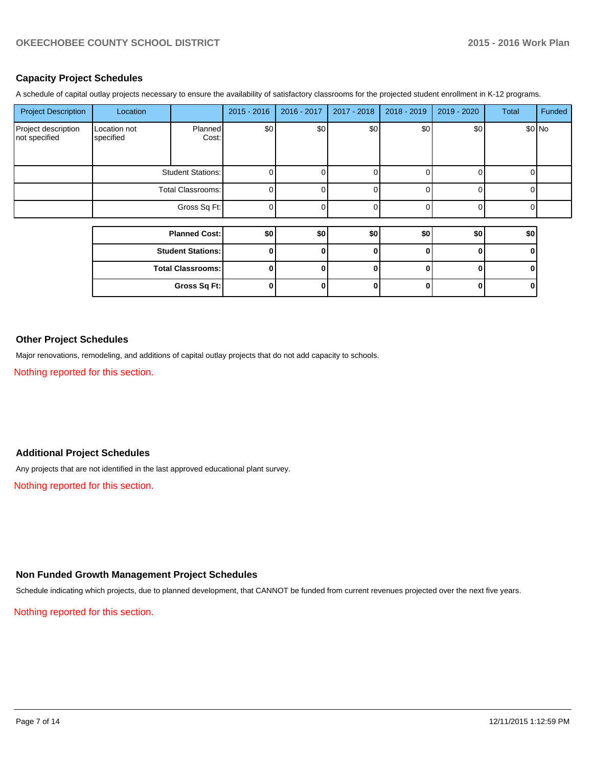## **Capacity Project Schedules**

A schedule of capital outlay projects necessary to ensure the availability of satisfactory classrooms for the projected student enrollment in K-12 programs.

| <b>Project Description</b>           | Location                  |                          | $2015 - 2016$ | 2016 - 2017 | 2017 - 2018 | 2018 - 2019 | 2019 - 2020  | Total    | Funded  |
|--------------------------------------|---------------------------|--------------------------|---------------|-------------|-------------|-------------|--------------|----------|---------|
| Project description<br>not specified | Location not<br>specified | <b>Planned</b><br>Cost:  | \$0]          | \$0         | \$0         | \$0         | \$0          |          | $$0$ No |
|                                      |                           | <b>Student Stations:</b> | 0             |             |             |             | U            | ŋ        |         |
|                                      | Total Classrooms:         |                          |               |             |             |             |              | 0        |         |
|                                      |                           | Gross Sq Ft:             | 0             |             |             |             | <sup>n</sup> | $\Omega$ |         |
|                                      |                           |                          |               |             |             |             |              |          |         |
|                                      |                           | <b>Planned Cost:</b>     | \$0           | \$0         | \$0         | \$0         | \$0          | \$0      |         |
|                                      |                           | <b>Student Stations:</b> | ΟI            |             | 0           | U           | $\mathbf{0}$ | 0        |         |
|                                      |                           | <b>Total Classrooms:</b> | $\Omega$      |             | ŋ           | Λ           | O            | ŋ        |         |
|                                      |                           | Gross Sq Ft:             | 0             |             | 0           |             | 0            | 0        |         |

## **Other Project Schedules**

Major renovations, remodeling, and additions of capital outlay projects that do not add capacity to schools.

Nothing reported for this section.

## **Additional Project Schedules**

Any projects that are not identified in the last approved educational plant survey.

Nothing reported for this section.

## **Non Funded Growth Management Project Schedules**

Schedule indicating which projects, due to planned development, that CANNOT be funded from current revenues projected over the next five years.

Nothing reported for this section.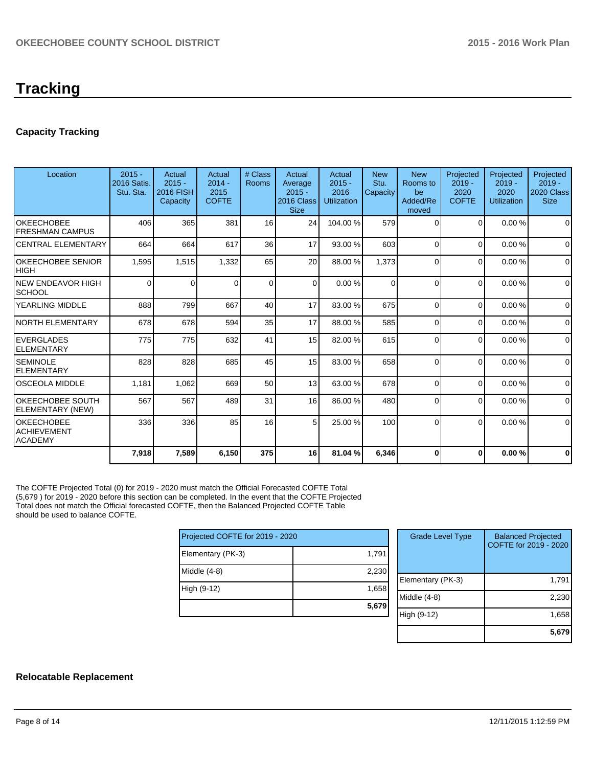# **Tracking**

## **Capacity Tracking**

| Location                                                  | $2015 -$<br>2016 Satis.<br>Stu. Sta. | Actual<br>$2015 -$<br>2016 FISH<br>Capacity | Actual<br>$2014 -$<br>2015<br><b>COFTE</b> | # Class<br>Rooms | Actual<br>Average<br>$2015 -$<br>2016 Class<br><b>Size</b> | Actual<br>$2015 -$<br>2016<br><b>Utilization</b> | <b>New</b><br>Stu.<br>Capacity | <b>New</b><br>Rooms to<br>be<br>Added/Re<br>moved | Projected<br>$2019 -$<br>2020<br><b>COFTE</b> | Projected<br>$2019 -$<br>2020<br><b>Utilization</b> | Projected<br>$2019 -$<br>2020 Class<br><b>Size</b> |
|-----------------------------------------------------------|--------------------------------------|---------------------------------------------|--------------------------------------------|------------------|------------------------------------------------------------|--------------------------------------------------|--------------------------------|---------------------------------------------------|-----------------------------------------------|-----------------------------------------------------|----------------------------------------------------|
| OKEECHOBEE<br><b>FRESHMAN CAMPUS</b>                      | 406                                  | 365                                         | 381                                        | 16               | 24                                                         | 104.00%                                          | 579                            | 0                                                 | $\Omega$                                      | 0.00%                                               | $\Omega$                                           |
| <b>CENTRAL ELEMENTARY</b>                                 | 664                                  | 664                                         | 617                                        | 36               | 17                                                         | 93.00 %                                          | 603                            | $\Omega$                                          | $\Omega$                                      | 0.00%                                               | $\Omega$                                           |
| OKEECHOBEE SENIOR<br><b>HIGH</b>                          | 1,595                                | 1,515                                       | 1,332                                      | 65               | 20 <sup>1</sup>                                            | 88.00 %                                          | 1.373                          | $\Omega$                                          | $\overline{0}$                                | 0.00%                                               | $\mathbf 0$                                        |
| <b>NEW ENDEAVOR HIGH</b><br><b>SCHOOL</b>                 | 0                                    | 0                                           | $\Omega$                                   | $\mathbf 0$      | $\overline{0}$                                             | 0.00%                                            | $\overline{0}$                 | $\Omega$                                          | $\overline{0}$                                | 0.00%                                               | $\mathbf 0$                                        |
| YEARLING MIDDLE                                           | 888                                  | 799                                         | 667                                        | 40               | 17                                                         | 83.00 %                                          | 675                            | $\Omega$                                          | $\Omega$                                      | 0.00%                                               | $\Omega$                                           |
| <b>NORTH ELEMENTARY</b>                                   | 678                                  | 678                                         | 594                                        | 35               | 17                                                         | 88.00 %                                          | 585                            | $\Omega$                                          | $\overline{0}$                                | 0.00%                                               | $\mathbf 0$                                        |
| <b>EVERGLADES</b><br><b>ELEMENTARY</b>                    | 775                                  | 775                                         | 632                                        | 41               | 15                                                         | 82.00 %                                          | 615                            | $\Omega$                                          | $\Omega$                                      | 0.00%                                               | $\mathbf 0$                                        |
| <b>SEMINOLE</b><br><b>ELEMENTARY</b>                      | 828                                  | 828                                         | 685                                        | 45               | 15                                                         | 83.00 %                                          | 658                            | $\Omega$                                          | $\Omega$                                      | 0.00%                                               | $\mathbf 0$                                        |
| <b>OSCEOLA MIDDLE</b>                                     | 1,181                                | 1,062                                       | 669                                        | 50               | 13                                                         | 63.00 %                                          | 678                            | $\Omega$                                          | $\Omega$                                      | 0.00%                                               | $\Omega$                                           |
| OKEECHOBEE SOUTH<br>ELEMENTARY (NEW)                      | 567                                  | 567                                         | 489                                        | 31               | 16                                                         | 86.00 %                                          | 480                            | $\Omega$                                          | $\Omega$                                      | 0.00%                                               | $\mathbf 0$                                        |
| <b>OKEECHOBEE</b><br><b>ACHIEVEMENT</b><br><b>ACADEMY</b> | 336                                  | 336                                         | 85                                         | 16               | 5 <sub>l</sub>                                             | 25.00 %                                          | 100 <sub>l</sub>               | $\Omega$                                          | $\Omega$                                      | 0.00%                                               | $\Omega$                                           |
|                                                           | 7,918                                | 7,589                                       | 6,150                                      | 375              | 16                                                         | 81.04 %                                          | 6,346                          | $\bf{0}$                                          | $\bf{0}$                                      | 0.00%                                               | $\bf{0}$                                           |

The COFTE Projected Total (0) for 2019 - 2020 must match the Official Forecasted COFTE Total (5,679 ) for 2019 - 2020 before this section can be completed. In the event that the COFTE Projected Total does not match the Official forecasted COFTE, then the Balanced Projected COFTE Table should be used to balance COFTE.

| Projected COFTE for 2019 - 2020 |       |  |  |  |  |
|---------------------------------|-------|--|--|--|--|
| Elementary (PK-3)               | 1,791 |  |  |  |  |
| Middle (4-8)                    | 2,230 |  |  |  |  |
| High (9-12)                     | 1,658 |  |  |  |  |
|                                 | 5,679 |  |  |  |  |

| <b>Grade Level Type</b> | <b>Balanced Projected</b><br>COFTE for 2019 - 2020 |
|-------------------------|----------------------------------------------------|
| Elementary (PK-3)       | 1,791                                              |
| Middle (4-8)            | 2,230                                              |
| High (9-12)             | 1,658                                              |
|                         | 5,67                                               |

## **Relocatable Replacement**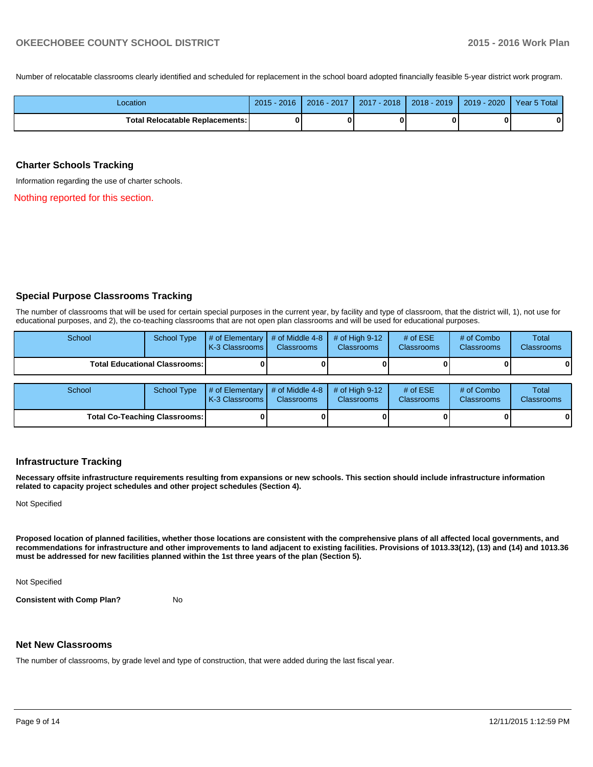Number of relocatable classrooms clearly identified and scheduled for replacement in the school board adopted financially feasible 5-year district work program.

| _ocation                        | $-2016$<br>$2015 -$ | 2016 - 2017 | $-2018$<br>2017 | 2018 - 2019 | 2019 - 2020 | Year 5 Total |
|---------------------------------|---------------------|-------------|-----------------|-------------|-------------|--------------|
| Total Relocatable Replacements: |                     |             |                 |             |             | 0            |

## **Charter Schools Tracking**

Information regarding the use of charter schools.

Nothing reported for this section.

## **Special Purpose Classrooms Tracking**

The number of classrooms that will be used for certain special purposes in the current year, by facility and type of classroom, that the district will, 1), not use for educational purposes, and 2), the co-teaching classrooms that are not open plan classrooms and will be used for educational purposes.

| School | School Type                            | $\#$ of Elementary $\#$ of Middle 4-8<br><b>K-3 Classrooms L</b>                        | <b>Classrooms</b> | $\#$ of Hiah 9-12<br><b>Classrooms</b> | # of $ESE$<br><b>Classrooms</b> | # of Combo<br><b>Classrooms</b> | Total<br><b>Classrooms</b> |
|--------|----------------------------------------|-----------------------------------------------------------------------------------------|-------------------|----------------------------------------|---------------------------------|---------------------------------|----------------------------|
|        | <b>Total Educational Classrooms: I</b> |                                                                                         |                   |                                        |                                 |                                 | $\mathbf{0}$               |
|        |                                        |                                                                                         |                   |                                        |                                 |                                 |                            |
| School | School Type                            | $\#$ of Elementary $\#$ of Middle 4-8 $\#$ of High 9-12<br>ICO Classrooma L. Classrooma |                   | Classrooms                             | # of $ESE$<br>$C$ lagaragpan    | # of Combo<br>Clossessons       | Total<br>Clossmond         |

| ------                        | $\sim$ | $\blacksquare$ $\blacksquare$ $\blacksquare$ $\blacksquare$ $\blacksquare$ $\blacksquare$ $\blacksquare$ $\blacksquare$ $\blacksquare$ $\blacksquare$ $\blacksquare$ $\blacksquare$ $\blacksquare$ $\blacksquare$ $\blacksquare$ $\blacksquare$ $\blacksquare$ $\blacksquare$ $\blacksquare$ $\blacksquare$ $\blacksquare$ $\blacksquare$ $\blacksquare$ $\blacksquare$ $\blacksquare$ $\blacksquare$ $\blacksquare$ $\blacksquare$ $\blacksquare$ $\blacksquare$ $\blacksquare$ $\blacks$<br><b>K-3 Classrooms I</b> | <b>Classrooms</b> | <b>Classrooms</b> | . <del>.</del><br><b>Classrooms</b> | $\sim$ $\sim$ $\sim$ $\sim$ $\sim$ $\sim$<br><b>Classrooms</b> | .<br><b>Classrooms</b> |
|-------------------------------|--------|-----------------------------------------------------------------------------------------------------------------------------------------------------------------------------------------------------------------------------------------------------------------------------------------------------------------------------------------------------------------------------------------------------------------------------------------------------------------------------------------------------------------------|-------------------|-------------------|-------------------------------------|----------------------------------------------------------------|------------------------|
| Total Co-Teaching Classrooms: |        |                                                                                                                                                                                                                                                                                                                                                                                                                                                                                                                       |                   |                   |                                     |                                                                | 0                      |

## **Infrastructure Tracking**

**Necessary offsite infrastructure requirements resulting from expansions or new schools. This section should include infrastructure information related to capacity project schedules and other project schedules (Section 4).**

Not Specified

**Proposed location of planned facilities, whether those locations are consistent with the comprehensive plans of all affected local governments, and recommendations for infrastructure and other improvements to land adjacent to existing facilities. Provisions of 1013.33(12), (13) and (14) and 1013.36 must be addressed for new facilities planned within the 1st three years of the plan (Section 5).**

Not Specified

**Consistent with Comp Plan?** No

## **Net New Classrooms**

The number of classrooms, by grade level and type of construction, that were added during the last fiscal year.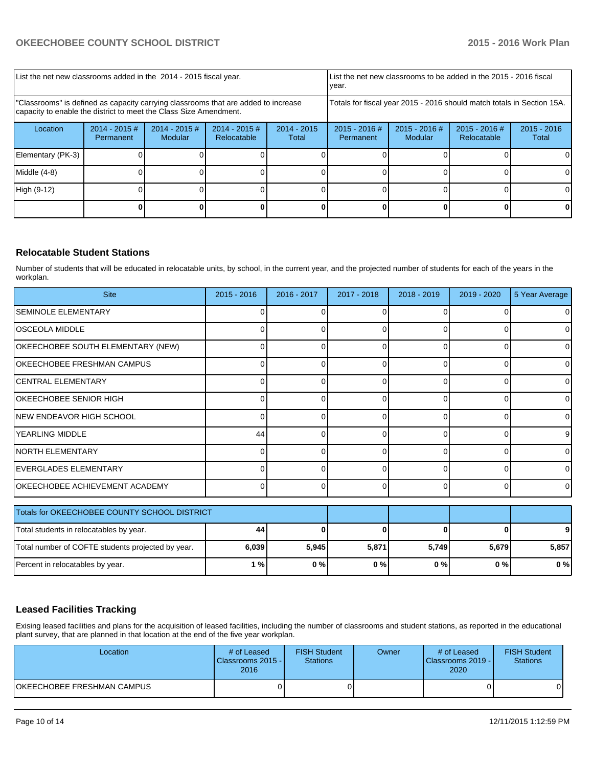| List the net new classrooms added in the 2014 - 2015 fiscal year.                                                                                       |                              |                            |                                |                        | List the net new classrooms to be added in the 2015 - 2016 fiscal<br>Ivear. |                            |                                |                        |
|---------------------------------------------------------------------------------------------------------------------------------------------------------|------------------------------|----------------------------|--------------------------------|------------------------|-----------------------------------------------------------------------------|----------------------------|--------------------------------|------------------------|
| "Classrooms" is defined as capacity carrying classrooms that are added to increase<br>capacity to enable the district to meet the Class Size Amendment. |                              |                            |                                |                        | Totals for fiscal year 2015 - 2016 should match totals in Section 15A.      |                            |                                |                        |
| Location                                                                                                                                                | $2014 - 2015$ #<br>Permanent | $2014 - 2015$ #<br>Modular | $2014 - 2015$ #<br>Relocatable | $2014 - 2015$<br>Total | $2015 - 2016$ #<br>Permanent                                                | $2015 - 2016$ #<br>Modular | $2015 - 2016$ #<br>Relocatable | $2015 - 2016$<br>Total |
| Elementary (PK-3)                                                                                                                                       |                              |                            |                                |                        |                                                                             |                            |                                | ΩI                     |
| Middle $(4-8)$                                                                                                                                          |                              |                            |                                |                        |                                                                             |                            |                                | 01                     |
| High (9-12)                                                                                                                                             |                              |                            |                                |                        |                                                                             |                            |                                |                        |
|                                                                                                                                                         |                              |                            |                                |                        |                                                                             |                            |                                |                        |

## **Relocatable Student Stations**

Number of students that will be educated in relocatable units, by school, in the current year, and the projected number of students for each of the years in the workplan.

| <b>Site</b>                           | $2015 - 2016$ | $2016 - 2017$ | 2017 - 2018 | 2018 - 2019 | $2019 - 2020$ | 5 Year Average |
|---------------------------------------|---------------|---------------|-------------|-------------|---------------|----------------|
| <b>SEMINOLE ELEMENTARY</b>            |               |               |             |             |               | $\Omega$       |
| <b> OSCEOLA MIDDLE</b>                |               |               |             |             |               | $\Omega$       |
| OKEECHOBEE SOUTH ELEMENTARY (NEW)     |               |               |             |             |               | 0              |
| OKEECHOBEE FRESHMAN CAMPUS            |               |               |             | ∩           |               | 0              |
| ICENTRAL ELEMENTARY                   |               |               | 0           | 0           |               | $\overline{0}$ |
| OKEECHOBEE SENIOR HIGH                |               |               | 0           | $\Omega$    |               | $\overline{0}$ |
| INEW ENDEAVOR HIGH SCHOOL             |               |               |             | $\Omega$    |               | $\overline{0}$ |
| IYEARLING MIDDLE                      | 44            |               | 0           | $\Omega$    |               | 9              |
| INORTH ELEMENTARY                     |               |               | ∩           | ∩           |               | $\Omega$       |
| EVERGLADES ELEMENTARY                 |               |               | U           | $\Omega$    |               | $\Omega$       |
| <b>OKEECHOBEE ACHIEVEMENT ACADEMY</b> |               |               | $\Omega$    | $\Omega$    |               | $\Omega$       |

| Totals for OKEECHOBEE COUNTY SCHOOL DISTRICT      |       |       |       |       |       |       |
|---------------------------------------------------|-------|-------|-------|-------|-------|-------|
| Total students in relocatables by year.           | 44    |       |       |       |       | 9     |
| Total number of COFTE students projected by year. | 6,039 | 5.945 | 5,871 | 5.749 | 5,679 | 5.857 |
| Percent in relocatables by year.                  | 1 % I | 0%    | 0%    | 0%    | 0%    | 0%    |

## **Leased Facilities Tracking**

Exising leased facilities and plans for the acquisition of leased facilities, including the number of classrooms and student stations, as reported in the educational plant survey, that are planned in that location at the end of the five year workplan.

| Location                    | # of Leased<br>Classrooms 2015 -<br>2016 | <b>FISH Student</b><br><b>Stations</b> | Owner | # of Leased<br>l Classrooms 2019 - I<br>2020 | <b>FISH Student</b><br><b>Stations</b> |
|-----------------------------|------------------------------------------|----------------------------------------|-------|----------------------------------------------|----------------------------------------|
| IOKEECHOBEE FRESHMAN CAMPUS |                                          |                                        |       |                                              | 01                                     |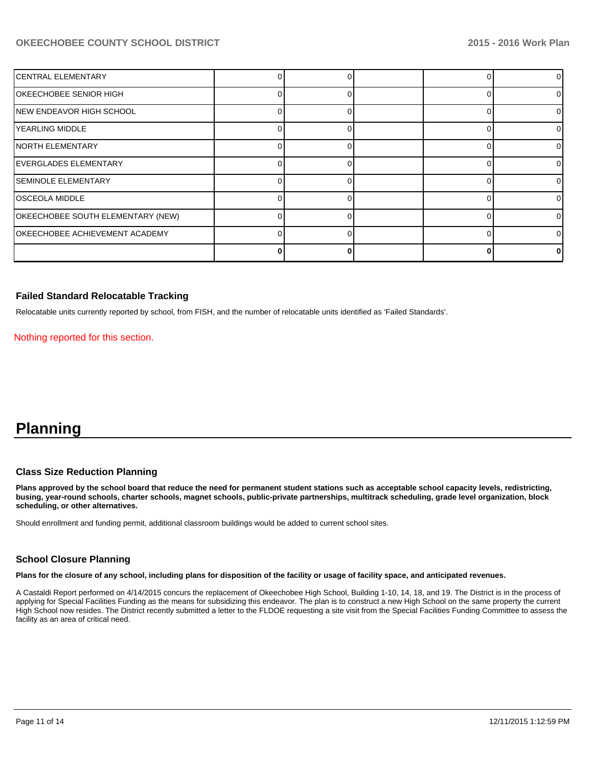| <b>CENTRAL ELEMENTARY</b>             |  |  | 01       |
|---------------------------------------|--|--|----------|
| OKEECHOBEE SENIOR HIGH                |  |  | 01       |
| NEW ENDEAVOR HIGH SCHOOL              |  |  | 01       |
| YEARLING MIDDLE                       |  |  | 01       |
| INORTH ELEMENTARY                     |  |  | 01       |
| <b>EVERGLADES ELEMENTARY</b>          |  |  | $\Omega$ |
| <b>SEMINOLE ELEMENTARY</b>            |  |  | 01       |
| <b>OSCEOLA MIDDLE</b>                 |  |  | $\Omega$ |
| OKEECHOBEE SOUTH ELEMENTARY (NEW)     |  |  | $\Omega$ |
| <b>OKEECHOBEE ACHIEVEMENT ACADEMY</b> |  |  | 01       |
|                                       |  |  | n.       |

## **Failed Standard Relocatable Tracking**

Relocatable units currently reported by school, from FISH, and the number of relocatable units identified as 'Failed Standards'.

Nothing reported for this section.

## **Planning**

## **Class Size Reduction Planning**

**Plans approved by the school board that reduce the need for permanent student stations such as acceptable school capacity levels, redistricting, busing, year-round schools, charter schools, magnet schools, public-private partnerships, multitrack scheduling, grade level organization, block scheduling, or other alternatives.**

Should enrollment and funding permit, additional classroom buildings would be added to current school sites.

#### **School Closure Planning**

**Plans for the closure of any school, including plans for disposition of the facility or usage of facility space, and anticipated revenues.**

A Castaldi Report performed on 4/14/2015 concurs the replacement of Okeechobee High School, Building 1-10, 14, 18, and 19. The District is in the process of applying for Special Facilities Funding as the means for subsidizing this endeavor. The plan is to construct a new High School on the same property the current High School now resides. The District recently submitted a letter to the FLDOE requesting a site visit from the Special Facilities Funding Committee to assess the facility as an area of critical need.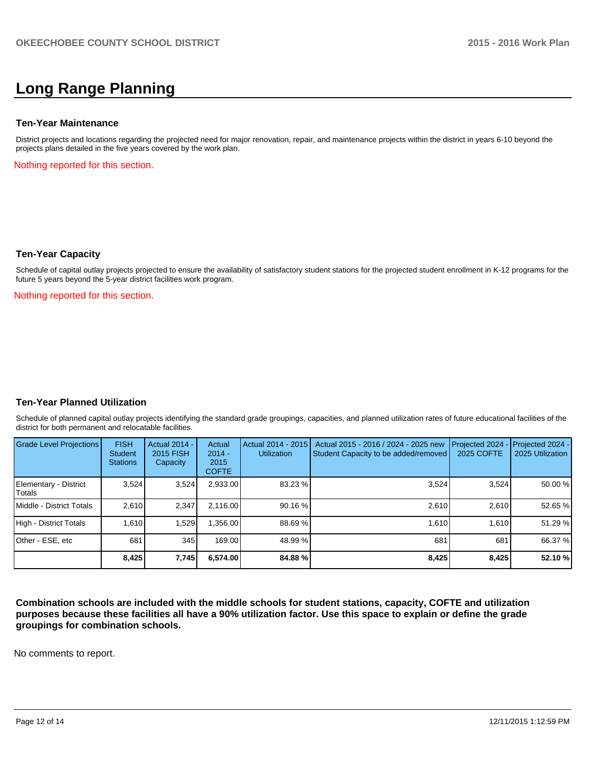## **Long Range Planning**

#### **Ten-Year Maintenance**

District projects and locations regarding the projected need for major renovation, repair, and maintenance projects within the district in years 6-10 beyond the projects plans detailed in the five years covered by the work plan.

Nothing reported for this section.

### **Ten-Year Capacity**

Schedule of capital outlay projects projected to ensure the availability of satisfactory student stations for the projected student enrollment in K-12 programs for the future 5 years beyond the 5-year district facilities work program.

Nothing reported for this section.

## **Ten-Year Planned Utilization**

Schedule of planned capital outlay projects identifying the standard grade groupings, capacities, and planned utilization rates of future educational facilities of the district for both permanent and relocatable facilities.

| Grade Level Projections         | <b>FISH</b><br><b>Student</b><br><b>Stations</b> | <b>Actual 2014 -</b><br>2015 FISH<br>Capacity | Actual<br>$2014 -$<br>2015<br><b>COFTE</b> | Actual 2014 - 2015<br><b>Utilization</b> | Actual 2015 - 2016 / 2024 - 2025 new<br>Student Capacity to be added/removed | Projected 2024<br><b>2025 COFTE</b> | $-$ Projected 2024 -<br>2025 Utilization |
|---------------------------------|--------------------------------------------------|-----------------------------------------------|--------------------------------------------|------------------------------------------|------------------------------------------------------------------------------|-------------------------------------|------------------------------------------|
| Elementary - District<br>Totals | 3.524                                            | 3,524                                         | 2,933.00                                   | 83.23 %                                  | 3,524                                                                        | 3,524                               | 50.00 %                                  |
| Middle - District Totals        | 2.610                                            | 2,347                                         | 2.116.00                                   | $90.16\%$                                | 2.610                                                                        | 2.610                               | 52.65 %                                  |
| High - District Totals          | 1.610                                            | 1.529                                         | .356.00                                    | 88.69 %                                  | 1.610                                                                        | 1.610                               | 51.29 %                                  |
| Other - ESE, etc                | 681                                              | 345                                           | 169.00                                     | 48.99 %                                  | 681                                                                          | 681                                 | 66.37 %                                  |
|                                 | 8,425                                            | 7,745                                         | 6,574.00                                   | 84.88 %                                  | 8,425                                                                        | 8,425                               | 52.10 %                                  |

**Combination schools are included with the middle schools for student stations, capacity, COFTE and utilization purposes because these facilities all have a 90% utilization factor. Use this space to explain or define the grade groupings for combination schools.**

No comments to report.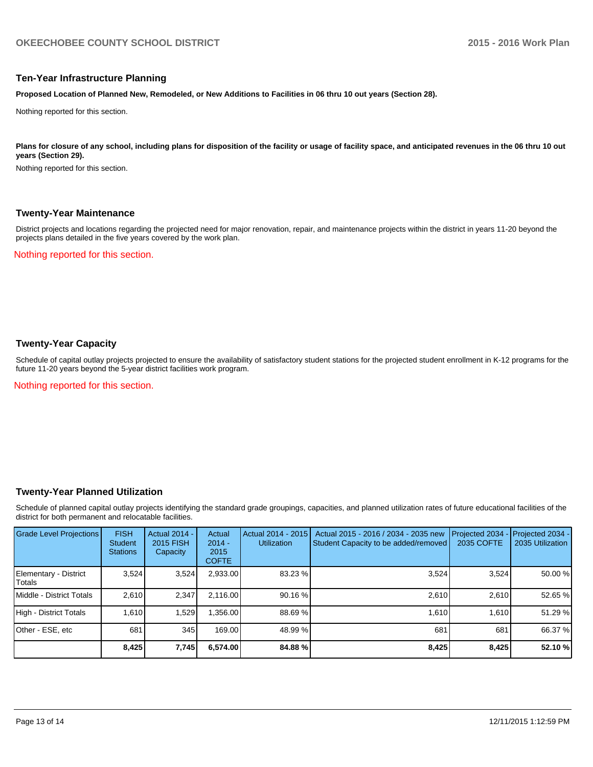### **Ten-Year Infrastructure Planning**

**Proposed Location of Planned New, Remodeled, or New Additions to Facilities in 06 thru 10 out years (Section 28).**

Nothing reported for this section.

Plans for closure of any school, including plans for disposition of the facility or usage of facility space, and anticipated revenues in the 06 thru 10 out **years (Section 29).**

Nothing reported for this section.

#### **Twenty-Year Maintenance**

District projects and locations regarding the projected need for major renovation, repair, and maintenance projects within the district in years 11-20 beyond the projects plans detailed in the five years covered by the work plan.

Nothing reported for this section.

## **Twenty-Year Capacity**

Schedule of capital outlay projects projected to ensure the availability of satisfactory student stations for the projected student enrollment in K-12 programs for the future 11-20 years beyond the 5-year district facilities work program.

Nothing reported for this section.

## **Twenty-Year Planned Utilization**

Schedule of planned capital outlay projects identifying the standard grade groupings, capacities, and planned utilization rates of future educational facilities of the district for both permanent and relocatable facilities.

| <b>Grade Level Projections</b>    | <b>FISH</b><br><b>Student</b><br><b>Stations</b> | <b>Actual 2014 -</b><br>2015 FISH<br>Capacity | Actual<br>$2014 -$<br>2015<br><b>COFTE</b> | Actual 2014 - 2015<br><b>Utilization</b> | Actual 2015 - 2016 / 2034 - 2035 new<br>Student Capacity to be added/removed | Projected 2034<br>2035 COFTE | Projected 2034 -<br>2035 Utilization |
|-----------------------------------|--------------------------------------------------|-----------------------------------------------|--------------------------------------------|------------------------------------------|------------------------------------------------------------------------------|------------------------------|--------------------------------------|
| Elementary - District<br>l Totals | 3,524                                            | 3,524                                         | 2,933.00                                   | 83.23 %                                  | 3,524                                                                        | 3,524                        | 50.00 %                              |
| <b>IMiddle - District Totals</b>  | 2.610                                            | 2.347                                         | 2.116.00                                   | $90.16\%$                                | 2.610                                                                        | 2.610                        | 52.65 %                              |
| High - District Totals            | 1.610                                            | 1.529                                         | .356.00                                    | 88.69 %                                  | 1.610                                                                        | 1.610                        | 51.29 %                              |
| Other - ESE, etc                  | 681                                              | 345                                           | 169.00                                     | 48.99 %                                  | 681                                                                          | 681                          | 66.37 %                              |
|                                   | 8,425                                            | 7,745                                         | 6,574.00                                   | 84.88%                                   | 8,425                                                                        | 8,425                        | 52.10 %                              |